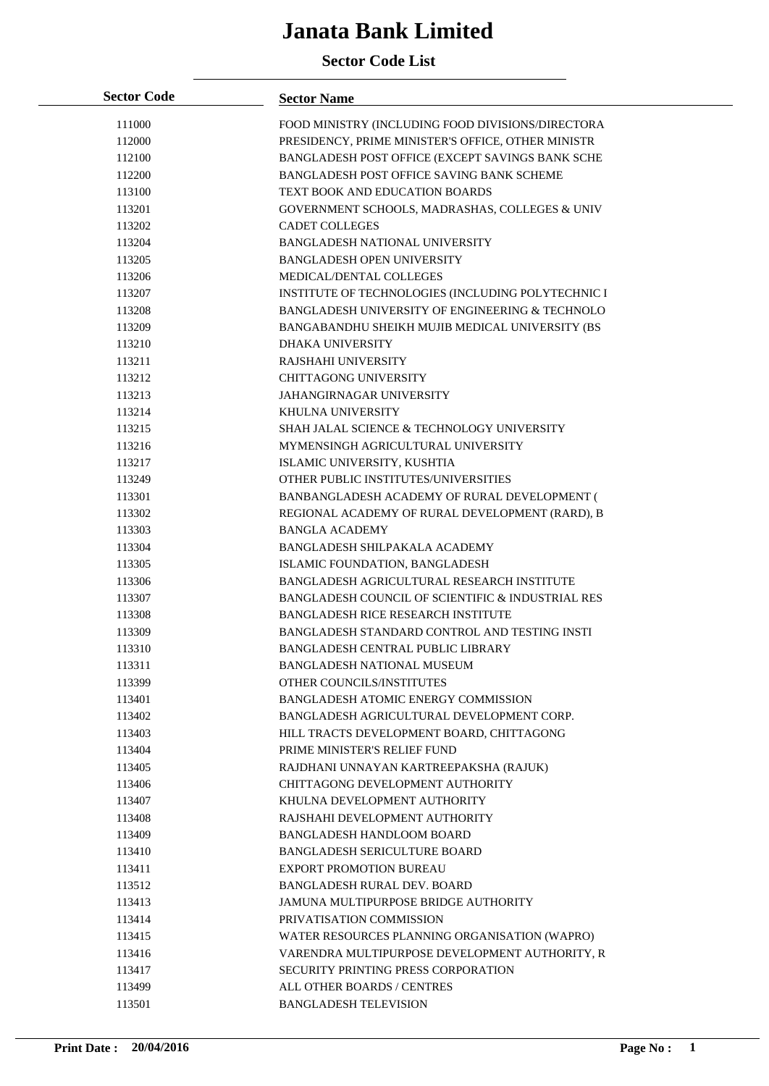| <b>Sector Code</b> | <b>Sector Name</b>                                 |
|--------------------|----------------------------------------------------|
| 111000             | FOOD MINISTRY (INCLUDING FOOD DIVISIONS/DIRECTORA  |
| 112000             | PRESIDENCY, PRIME MINISTER'S OFFICE, OTHER MINISTR |
| 112100             | BANGLADESH POST OFFICE (EXCEPT SAVINGS BANK SCHE   |
| 112200             | BANGLADESH POST OFFICE SAVING BANK SCHEME          |
| 113100             | TEXT BOOK AND EDUCATION BOARDS                     |
| 113201             | GOVERNMENT SCHOOLS, MADRASHAS, COLLEGES & UNIV     |
| 113202             | <b>CADET COLLEGES</b>                              |
| 113204             | BANGLADESH NATIONAL UNIVERSITY                     |
| 113205             | <b>BANGLADESH OPEN UNIVERSITY</b>                  |
| 113206             | MEDICAL/DENTAL COLLEGES                            |
| 113207             | INSTITUTE OF TECHNOLOGIES (INCLUDING POLYTECHNIC I |
| 113208             | BANGLADESH UNIVERSITY OF ENGINEERING & TECHNOLO    |
| 113209             | BANGABANDHU SHEIKH MUJIB MEDICAL UNIVERSITY (BS    |
| 113210             | <b>DHAKA UNIVERSITY</b>                            |
| 113211             | RAJSHAHI UNIVERSITY                                |
| 113212             | <b>CHITTAGONG UNIVERSITY</b>                       |
| 113213             | <b>JAHANGIRNAGAR UNIVERSITY</b>                    |
| 113214             | KHULNA UNIVERSITY                                  |
| 113215             | SHAH JALAL SCIENCE & TECHNOLOGY UNIVERSITY         |
| 113216             | MYMENSINGH AGRICULTURAL UNIVERSITY                 |
| 113217             | ISLAMIC UNIVERSITY, KUSHTIA                        |
| 113249             | OTHER PUBLIC INSTITUTES/UNIVERSITIES               |
| 113301             | BANBANGLADESH ACADEMY OF RURAL DEVELOPMENT (       |
| 113302             | REGIONAL ACADEMY OF RURAL DEVELOPMENT (RARD), B    |
| 113303             | <b>BANGLA ACADEMY</b>                              |
| 113304             | BANGLADESH SHILPAKALA ACADEMY                      |
| 113305             | ISLAMIC FOUNDATION, BANGLADESH                     |
| 113306             | BANGLADESH AGRICULTURAL RESEARCH INSTITUTE         |
| 113307             | BANGLADESH COUNCIL OF SCIENTIFIC & INDUSTRIAL RES  |
| 113308             | <b>BANGLADESH RICE RESEARCH INSTITUTE</b>          |
| 113309             | BANGLADESH STANDARD CONTROL AND TESTING INSTI      |
| 113310             | BANGLADESH CENTRAL PUBLIC LIBRARY                  |
| 113311             | BANGLADESH NATIONAL MUSEUM                         |
| 113399             | OTHER COUNCILS/INSTITUTES                          |
| 113401             | <b>BANGLADESH ATOMIC ENERGY COMMISSION</b>         |
| 113402             | BANGLADESH AGRICULTURAL DEVELOPMENT CORP.          |
| 113403             | HILL TRACTS DEVELOPMENT BOARD, CHITTAGONG          |
| 113404             | PRIME MINISTER'S RELIEF FUND                       |
| 113405             | RAJDHANI UNNAYAN KARTREEPAKSHA (RAJUK)             |
| 113406             | CHITTAGONG DEVELOPMENT AUTHORITY                   |
| 113407             | KHULNA DEVELOPMENT AUTHORITY                       |
| 113408             | RAJSHAHI DEVELOPMENT AUTHORITY                     |
| 113409             | BANGLADESH HANDLOOM BOARD                          |
| 113410             | <b>BANGLADESH SERICULTURE BOARD</b>                |
| 113411             | <b>EXPORT PROMOTION BUREAU</b>                     |
| 113512             | <b>BANGLADESH RURAL DEV. BOARD</b>                 |
| 113413             | JAMUNA MULTIPURPOSE BRIDGE AUTHORITY               |
| 113414             | PRIVATISATION COMMISSION                           |
| 113415             | WATER RESOURCES PLANNING ORGANISATION (WAPRO)      |
| 113416             | VARENDRA MULTIPURPOSE DEVELOPMENT AUTHORITY, R     |
| 113417             | <b>SECURITY PRINTING PRESS CORPORATION</b>         |
| 113499             | ALL OTHER BOARDS / CENTRES                         |
| 113501             | <b>BANGLADESH TELEVISION</b>                       |
|                    |                                                    |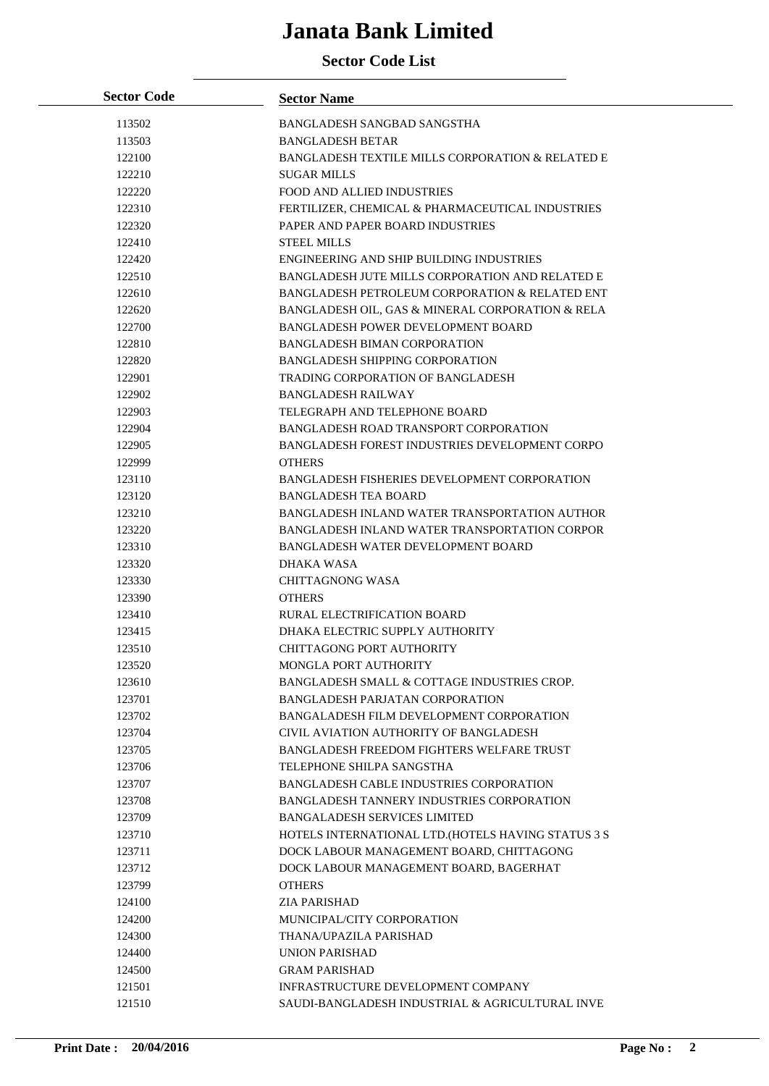| <b>Sector Code</b> | <b>Sector Name</b>                                          |
|--------------------|-------------------------------------------------------------|
| 113502             | BANGLADESH SANGBAD SANGSTHA                                 |
| 113503             | <b>BANGLADESH BETAR</b>                                     |
| 122100             | <b>BANGLADESH TEXTILE MILLS CORPORATION &amp; RELATED E</b> |
| 122210             | <b>SUGAR MILLS</b>                                          |
| 122220             | <b>FOOD AND ALLIED INDUSTRIES</b>                           |
| 122310             | FERTILIZER, CHEMICAL & PHARMACEUTICAL INDUSTRIES            |
| 122320             | PAPER AND PAPER BOARD INDUSTRIES                            |
| 122410             | <b>STEEL MILLS</b>                                          |
| 122420             | ENGINEERING AND SHIP BUILDING INDUSTRIES                    |
| 122510             | <b>BANGLADESH JUTE MILLS CORPORATION AND RELATED E</b>      |
| 122610             | BANGLADESH PETROLEUM CORPORATION & RELATED ENT              |
| 122620             | BANGLADESH OIL, GAS & MINERAL CORPORATION & RELA            |
| 122700             | BANGLADESH POWER DEVELOPMENT BOARD                          |
| 122810             | <b>BANGLADESH BIMAN CORPORATION</b>                         |
| 122820             | <b>BANGLADESH SHIPPING CORPORATION</b>                      |
| 122901             | TRADING CORPORATION OF BANGLADESH                           |
| 122902             | <b>BANGLADESH RAILWAY</b>                                   |
| 122903             | TELEGRAPH AND TELEPHONE BOARD                               |
| 122904             | BANGLADESH ROAD TRANSPORT CORPORATION                       |
| 122905             | BANGLADESH FOREST INDUSTRIES DEVELOPMENT CORPO              |
| 122999             | <b>OTHERS</b>                                               |
| 123110             | BANGLADESH FISHERIES DEVELOPMENT CORPORATION                |
| 123120             | <b>BANGLADESH TEA BOARD</b>                                 |
| 123210             | <b>BANGLADESH INLAND WATER TRANSPORTATION AUTHOR</b>        |
| 123220             | BANGLADESH INLAND WATER TRANSPORTATION CORPOR               |
| 123310             | BANGLADESH WATER DEVELOPMENT BOARD                          |
| 123320             | DHAKA WASA                                                  |
| 123330             | <b>CHITTAGNONG WASA</b>                                     |
| 123390             | <b>OTHERS</b>                                               |
| 123410             | <b>RURAL ELECTRIFICATION BOARD</b>                          |
| 123415             | DHAKA ELECTRIC SUPPLY AUTHORITY                             |
| 123510             | CHITTAGONG PORT AUTHORITY<br>MONGLA PORT AUTHORITY          |
| 123520<br>123610   | BANGLADESH SMALL & COTTAGE INDUSTRIES CROP.                 |
| 123701             | <b>BANGLADESH PARJATAN CORPORATION</b>                      |
| 123702             | BANGALADESH FILM DEVELOPMENT CORPORATION                    |
| 123704             | CIVIL AVIATION AUTHORITY OF BANGLADESH                      |
| 123705             | BANGLADESH FREEDOM FIGHTERS WELFARE TRUST                   |
| 123706             | TELEPHONE SHILPA SANGSTHA                                   |
| 123707             | <b>BANGLADESH CABLE INDUSTRIES CORPORATION</b>              |
| 123708             | <b>BANGLADESH TANNERY INDUSTRIES CORPORATION</b>            |
| 123709             | <b>BANGALADESH SERVICES LIMITED</b>                         |
| 123710             | HOTELS INTERNATIONAL LTD. (HOTELS HAVING STATUS 3 S         |
| 123711             | DOCK LABOUR MANAGEMENT BOARD, CHITTAGONG                    |
| 123712             | DOCK LABOUR MANAGEMENT BOARD, BAGERHAT                      |
| 123799             | <b>OTHERS</b>                                               |
| 124100             | ZIA PARISHAD                                                |
| 124200             | MUNICIPAL/CITY CORPORATION                                  |
| 124300             | THANA/UPAZILA PARISHAD                                      |
| 124400             | UNION PARISHAD                                              |
| 124500             | <b>GRAM PARISHAD</b>                                        |
| 121501             | INFRASTRUCTURE DEVELOPMENT COMPANY                          |
| 121510             | SAUDI-BANGLADESH INDUSTRIAL & AGRICULTURAL INVE             |
|                    |                                                             |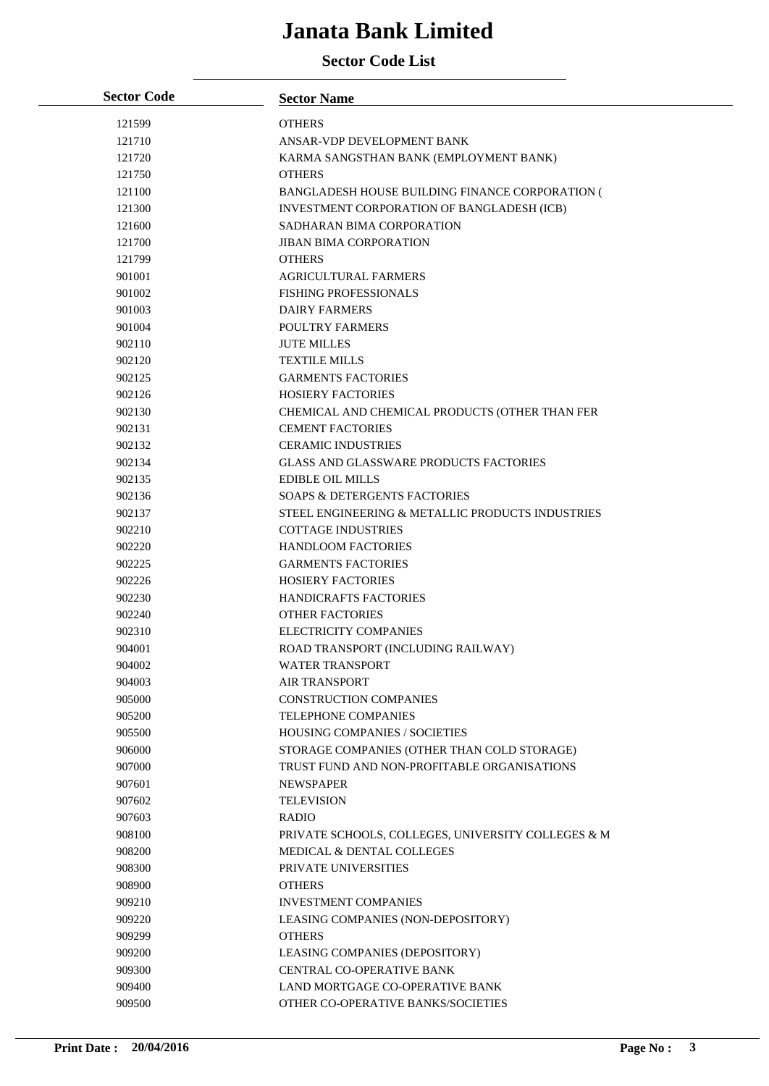| <b>Sector Code</b> | <b>Sector Name</b>                                 |
|--------------------|----------------------------------------------------|
| 121599             | <b>OTHERS</b>                                      |
| 121710             | ANSAR-VDP DEVELOPMENT BANK                         |
| 121720             | KARMA SANGSTHAN BANK (EMPLOYMENT BANK)             |
| 121750             | <b>OTHERS</b>                                      |
| 121100             | BANGLADESH HOUSE BUILDING FINANCE CORPORATION (    |
| 121300             | INVESTMENT CORPORATION OF BANGLADESH (ICB)         |
| 121600             | SADHARAN BIMA CORPORATION                          |
| 121700             | <b>JIBAN BIMA CORPORATION</b>                      |
| 121799             | <b>OTHERS</b>                                      |
| 901001             | <b>AGRICULTURAL FARMERS</b>                        |
| 901002             | <b>FISHING PROFESSIONALS</b>                       |
| 901003             | <b>DAIRY FARMERS</b>                               |
| 901004             | POULTRY FARMERS                                    |
| 902110             | <b>JUTE MILLES</b>                                 |
| 902120             | <b>TEXTILE MILLS</b>                               |
| 902125             | <b>GARMENTS FACTORIES</b>                          |
| 902126             | <b>HOSIERY FACTORIES</b>                           |
| 902130             | CHEMICAL AND CHEMICAL PRODUCTS (OTHER THAN FER     |
| 902131             | <b>CEMENT FACTORIES</b>                            |
| 902132             | <b>CERAMIC INDUSTRIES</b>                          |
| 902134             | <b>GLASS AND GLASSWARE PRODUCTS FACTORIES</b>      |
| 902135             | <b>EDIBLE OIL MILLS</b>                            |
| 902136             | <b>SOAPS &amp; DETERGENTS FACTORIES</b>            |
| 902137             | STEEL ENGINEERING & METALLIC PRODUCTS INDUSTRIES   |
| 902210             | <b>COTTAGE INDUSTRIES</b>                          |
| 902220             | <b>HANDLOOM FACTORIES</b>                          |
| 902225             | <b>GARMENTS FACTORIES</b>                          |
| 902226             | <b>HOSIERY FACTORIES</b>                           |
| 902230             | <b>HANDICRAFTS FACTORIES</b>                       |
| 902240             | <b>OTHER FACTORIES</b>                             |
| 902310             | <b>ELECTRICITY COMPANIES</b>                       |
| 904001             | ROAD TRANSPORT (INCLUDING RAILWAY)                 |
| 904002             | <b>WATER TRANSPORT</b>                             |
| 904003             | <b>AIR TRANSPORT</b>                               |
| 905000             | <b>CONSTRUCTION COMPANIES</b>                      |
| 905200             | TELEPHONE COMPANIES                                |
| 905500             | <b>HOUSING COMPANIES / SOCIETIES</b>               |
| 906000             | STORAGE COMPANIES (OTHER THAN COLD STORAGE)        |
| 907000             | TRUST FUND AND NON-PROFITABLE ORGANISATIONS        |
| 907601             | <b>NEWSPAPER</b>                                   |
| 907602             | <b>TELEVISION</b>                                  |
| 907603             | <b>RADIO</b>                                       |
| 908100             | PRIVATE SCHOOLS, COLLEGES, UNIVERSITY COLLEGES & M |
| 908200             | MEDICAL & DENTAL COLLEGES                          |
| 908300             | PRIVATE UNIVERSITIES                               |
| 908900             | <b>OTHERS</b>                                      |
| 909210             | <b>INVESTMENT COMPANIES</b>                        |
| 909220             | LEASING COMPANIES (NON-DEPOSITORY)                 |
| 909299             | <b>OTHERS</b>                                      |
| 909200             | LEASING COMPANIES (DEPOSITORY)                     |
| 909300             | CENTRAL CO-OPERATIVE BANK                          |
| 909400             | LAND MORTGAGE CO-OPERATIVE BANK                    |
| 909500             | OTHER CO-OPERATIVE BANKS/SOCIETIES                 |
|                    |                                                    |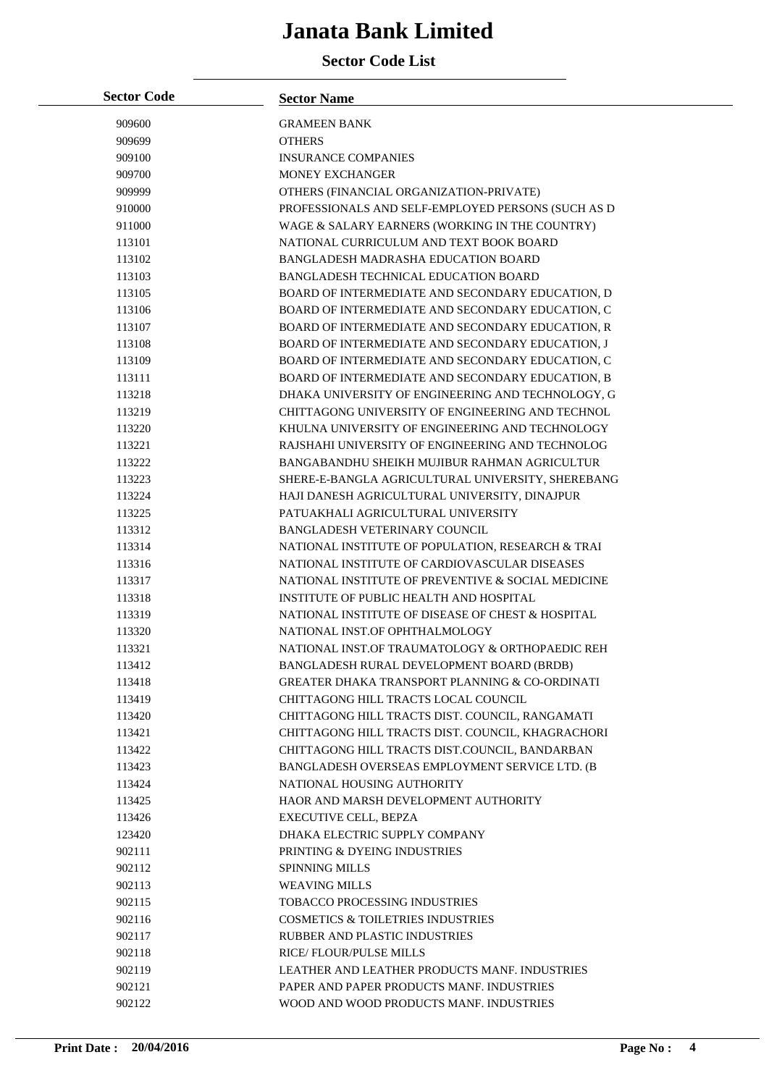| <b>Sector Code</b> | <b>Sector Name</b>                                        |
|--------------------|-----------------------------------------------------------|
| 909600             | <b>GRAMEEN BANK</b>                                       |
| 909699             | <b>OTHERS</b>                                             |
| 909100             | <b>INSURANCE COMPANIES</b>                                |
| 909700             | <b>MONEY EXCHANGER</b>                                    |
| 909999             | OTHERS (FINANCIAL ORGANIZATION-PRIVATE)                   |
| 910000             | PROFESSIONALS AND SELF-EMPLOYED PERSONS (SUCH AS D        |
| 911000             | WAGE & SALARY EARNERS (WORKING IN THE COUNTRY)            |
| 113101             | NATIONAL CURRICULUM AND TEXT BOOK BOARD                   |
| 113102             | BANGLADESH MADRASHA EDUCATION BOARD                       |
| 113103             | <b>BANGLADESH TECHNICAL EDUCATION BOARD</b>               |
| 113105             | BOARD OF INTERMEDIATE AND SECONDARY EDUCATION, D          |
| 113106             | BOARD OF INTERMEDIATE AND SECONDARY EDUCATION, C          |
| 113107             | BOARD OF INTERMEDIATE AND SECONDARY EDUCATION, R          |
| 113108             | BOARD OF INTERMEDIATE AND SECONDARY EDUCATION, J          |
| 113109             | BOARD OF INTERMEDIATE AND SECONDARY EDUCATION, C          |
| 113111             | BOARD OF INTERMEDIATE AND SECONDARY EDUCATION, B          |
| 113218             | DHAKA UNIVERSITY OF ENGINEERING AND TECHNOLOGY, G         |
| 113219             | CHITTAGONG UNIVERSITY OF ENGINEERING AND TECHNOL          |
| 113220             | KHULNA UNIVERSITY OF ENGINEERING AND TECHNOLOGY           |
| 113221             | RAJSHAHI UNIVERSITY OF ENGINEERING AND TECHNOLOG          |
| 113222             | BANGABANDHU SHEIKH MUJIBUR RAHMAN AGRICULTUR              |
| 113223             | SHERE-E-BANGLA AGRICULTURAL UNIVERSITY, SHEREBANG         |
| 113224             | HAJI DANESH AGRICULTURAL UNIVERSITY, DINAJPUR             |
| 113225             | PATUAKHALI AGRICULTURAL UNIVERSITY                        |
| 113312             | <b>BANGLADESH VETERINARY COUNCIL</b>                      |
| 113314             | NATIONAL INSTITUTE OF POPULATION, RESEARCH & TRAI         |
| 113316             | NATIONAL INSTITUTE OF CARDIOVASCULAR DISEASES             |
| 113317             | NATIONAL INSTITUTE OF PREVENTIVE & SOCIAL MEDICINE        |
| 113318             | INSTITUTE OF PUBLIC HEALTH AND HOSPITAL                   |
| 113319             | NATIONAL INSTITUTE OF DISEASE OF CHEST & HOSPITAL         |
| 113320             | NATIONAL INST.OF OPHTHALMOLOGY                            |
| 113321             | NATIONAL INST.OF TRAUMATOLOGY & ORTHOPAEDIC REH           |
| 113412             | BANGLADESH RURAL DEVELOPMENT BOARD (BRDB)                 |
| 113418             | <b>GREATER DHAKA TRANSPORT PLANNING &amp; CO-ORDINATI</b> |
| 113419             | CHITTAGONG HILL TRACTS LOCAL COUNCIL                      |
| 113420             | CHITTAGONG HILL TRACTS DIST. COUNCIL, RANGAMATI           |
| 113421             | CHITTAGONG HILL TRACTS DIST. COUNCIL, KHAGRACHORI         |
| 113422             | CHITTAGONG HILL TRACTS DIST.COUNCIL, BANDARBAN            |
| 113423             | BANGLADESH OVERSEAS EMPLOYMENT SERVICE LTD. (B            |
| 113424             | NATIONAL HOUSING AUTHORITY                                |
| 113425             | HAOR AND MARSH DEVELOPMENT AUTHORITY                      |
| 113426             | <b>EXECUTIVE CELL, BEPZA</b>                              |
| 123420             | DHAKA ELECTRIC SUPPLY COMPANY                             |
| 902111             | PRINTING & DYEING INDUSTRIES                              |
| 902112             | <b>SPINNING MILLS</b>                                     |
| 902113             | <b>WEAVING MILLS</b>                                      |
| 902115             | <b>TOBACCO PROCESSING INDUSTRIES</b>                      |
| 902116             | <b>COSMETICS &amp; TOILETRIES INDUSTRIES</b>              |
| 902117             | RUBBER AND PLASTIC INDUSTRIES                             |
| 902118             | <b>RICE/FLOUR/PULSE MILLS</b>                             |
| 902119             | LEATHER AND LEATHER PRODUCTS MANF. INDUSTRIES             |
| 902121             | PAPER AND PAPER PRODUCTS MANF. INDUSTRIES                 |
| 902122             | WOOD AND WOOD PRODUCTS MANF. INDUSTRIES                   |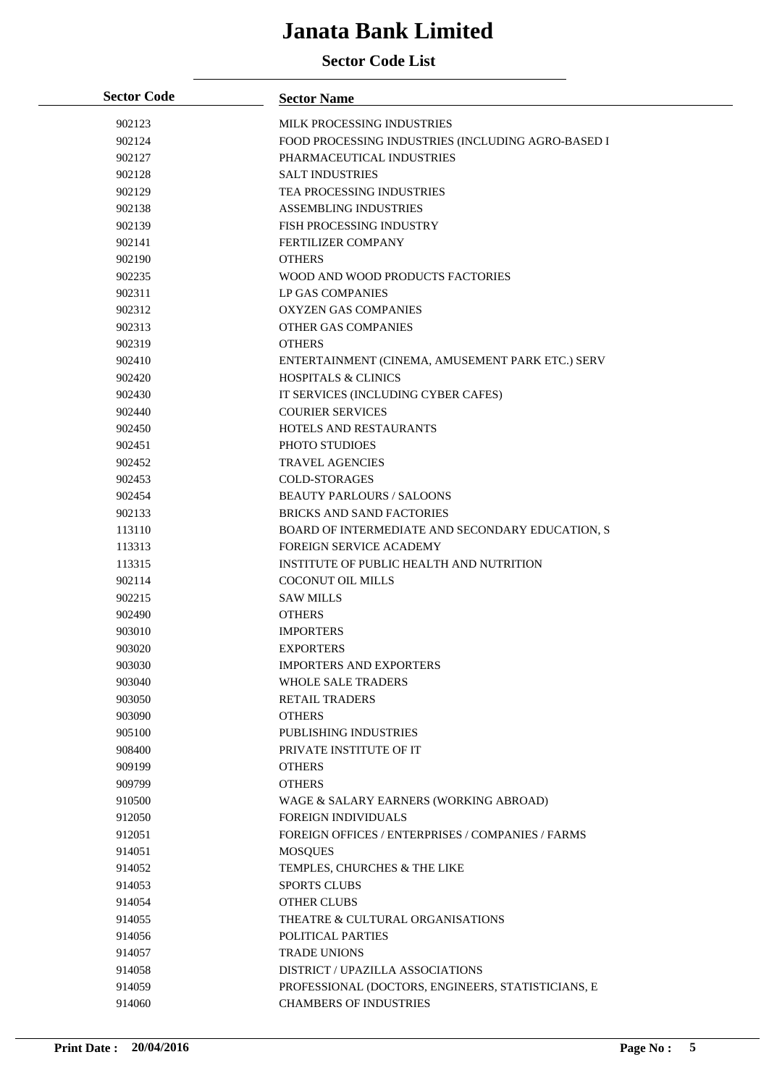| <b>Sector Code</b> | <b>Sector Name</b>                                 |
|--------------------|----------------------------------------------------|
| 902123             | MILK PROCESSING INDUSTRIES                         |
| 902124             | FOOD PROCESSING INDUSTRIES (INCLUDING AGRO-BASED I |
| 902127             | PHARMACEUTICAL INDUSTRIES                          |
| 902128             | <b>SALT INDUSTRIES</b>                             |
| 902129             | TEA PROCESSING INDUSTRIES                          |
| 902138             | <b>ASSEMBLING INDUSTRIES</b>                       |
| 902139             | FISH PROCESSING INDUSTRY                           |
| 902141             | FERTILIZER COMPANY                                 |
| 902190             | <b>OTHERS</b>                                      |
| 902235             | WOOD AND WOOD PRODUCTS FACTORIES                   |
| 902311             | LP GAS COMPANIES                                   |
| 902312             | <b>OXYZEN GAS COMPANIES</b>                        |
| 902313             | OTHER GAS COMPANIES                                |
| 902319             | <b>OTHERS</b>                                      |
| 902410             | ENTERTAINMENT (CINEMA, AMUSEMENT PARK ETC.) SERV   |
| 902420             | <b>HOSPITALS &amp; CLINICS</b>                     |
| 902430             | IT SERVICES (INCLUDING CYBER CAFES)                |
| 902440             | <b>COURIER SERVICES</b>                            |
| 902450             | HOTELS AND RESTAURANTS                             |
| 902451             | PHOTO STUDIOES                                     |
| 902452             | <b>TRAVEL AGENCIES</b>                             |
| 902453             | <b>COLD-STORAGES</b>                               |
| 902454             | <b>BEAUTY PARLOURS / SALOONS</b>                   |
| 902133             | <b>BRICKS AND SAND FACTORIES</b>                   |
| 113110             | BOARD OF INTERMEDIATE AND SECONDARY EDUCATION, S   |
| 113313             | <b>FOREIGN SERVICE ACADEMY</b>                     |
| 113315             | INSTITUTE OF PUBLIC HEALTH AND NUTRITION           |
| 902114             | <b>COCONUT OIL MILLS</b>                           |
| 902215             | <b>SAW MILLS</b>                                   |
| 902490             | <b>OTHERS</b>                                      |
| 903010             | <b>IMPORTERS</b>                                   |
| 903020             | <b>EXPORTERS</b>                                   |
| 903030             | <b>IMPORTERS AND EXPORTERS</b>                     |
| 903040             | <b>WHOLE SALE TRADERS</b>                          |
| 903050             | <b>RETAIL TRADERS</b>                              |
| 903090             | <b>OTHERS</b>                                      |
| 905100             | <b>PUBLISHING INDUSTRIES</b>                       |
| 908400             | PRIVATE INSTITUTE OF IT                            |
| 909199             | <b>OTHERS</b>                                      |
| 909799             | <b>OTHERS</b>                                      |
| 910500             | WAGE & SALARY EARNERS (WORKING ABROAD)             |
| 912050             | <b>FOREIGN INDIVIDUALS</b>                         |
| 912051             | FOREIGN OFFICES / ENTERPRISES / COMPANIES / FARMS  |
| 914051             | <b>MOSQUES</b>                                     |
| 914052             | TEMPLES, CHURCHES & THE LIKE                       |
| 914053             | <b>SPORTS CLUBS</b>                                |
| 914054             | OTHER CLUBS                                        |
| 914055             | THEATRE & CULTURAL ORGANISATIONS                   |
| 914056             | POLITICAL PARTIES                                  |
| 914057             | <b>TRADE UNIONS</b>                                |
| 914058             | DISTRICT / UPAZILLA ASSOCIATIONS                   |
| 914059             | PROFESSIONAL (DOCTORS, ENGINEERS, STATISTICIANS, E |
| 914060             | <b>CHAMBERS OF INDUSTRIES</b>                      |